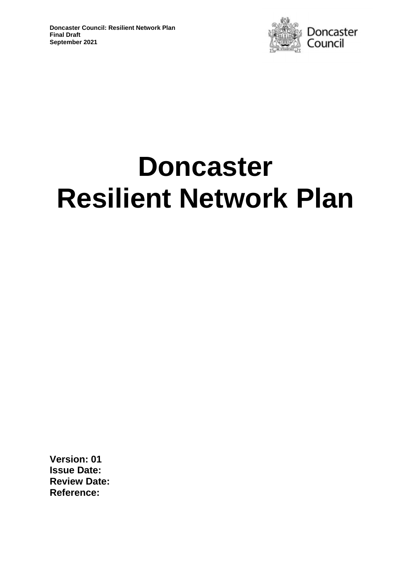

# **Doncaster Resilient Network Plan**

**Version: 01 Issue Date: Review Date: Reference:**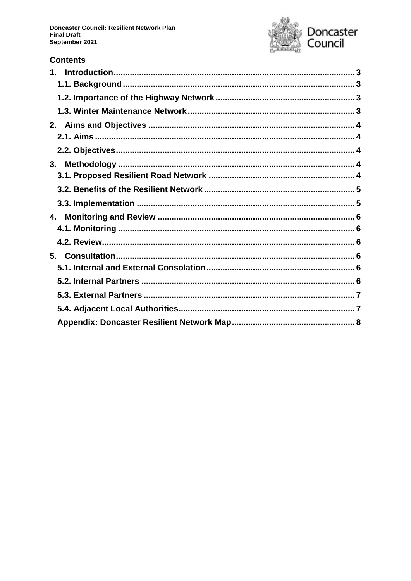**Doncaster Council: Resilient Network Plan Final Draft** September 2021



# **Contents**

| 2. |  |
|----|--|
|    |  |
|    |  |
| 3. |  |
|    |  |
|    |  |
|    |  |
| 4. |  |
|    |  |
|    |  |
| 5. |  |
|    |  |
|    |  |
|    |  |
|    |  |
|    |  |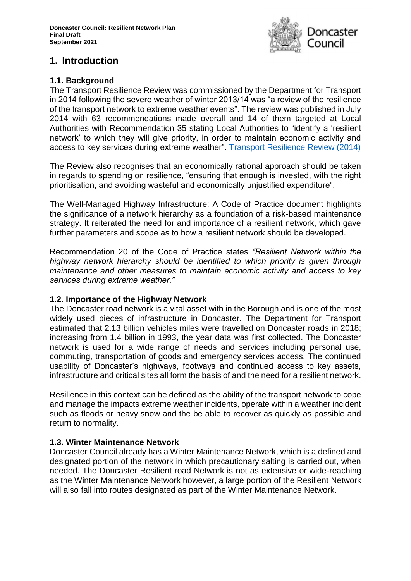

# <span id="page-2-0"></span>**1. Introduction**

# <span id="page-2-1"></span>**1.1. Background**

The Transport Resilience Review was commissioned by the Department for Transport in 2014 following the severe weather of winter 2013/14 was "a review of the resilience of the transport network to extreme weather events". The review was published in July 2014 with 63 recommendations made overall and 14 of them targeted at Local Authorities with Recommendation 35 stating Local Authorities to "identify a 'resilient network' to which they will give priority, in order to maintain economic activity and access to key services during extreme weather". [Transport Resilience Review \(2014\)](https://assets.publishing.service.gov.uk/government/uploads/system/uploads/attachment_data/file/335115/transport-resilience-review-web.pdf)

The Review also recognises that an economically rational approach should be taken in regards to spending on resilience, "ensuring that enough is invested, with the right prioritisation, and avoiding wasteful and economically unjustified expenditure".

The Well-Managed Highway Infrastructure: A Code of Practice document highlights the significance of a network hierarchy as a foundation of a risk-based maintenance strategy. It reiterated the need for and importance of a resilient network, which gave further parameters and scope as to how a resilient network should be developed.

Recommendation 20 of the Code of Practice states *"Resilient Network within the highway network hierarchy should be identified to which priority is given through maintenance and other measures to maintain economic activity and access to key services during extreme weather."*

#### <span id="page-2-2"></span>**1.2. Importance of the Highway Network**

The Doncaster road network is a vital asset with in the Borough and is one of the most widely used pieces of infrastructure in Doncaster. The Department for Transport estimated that 2.13 billion vehicles miles were travelled on Doncaster roads in 2018; increasing from 1.4 billion in 1993, the year data was first collected. The Doncaster network is used for a wide range of needs and services including personal use, commuting, transportation of goods and emergency services access. The continued usability of Doncaster's highways, footways and continued access to key assets, infrastructure and critical sites all form the basis of and the need for a resilient network.

Resilience in this context can be defined as the ability of the transport network to cope and manage the impacts extreme weather incidents, operate within a weather incident such as floods or heavy snow and the be able to recover as quickly as possible and return to normality.

# <span id="page-2-3"></span>**1.3. Winter Maintenance Network**

Doncaster Council already has a Winter Maintenance Network, which is a defined and designated portion of the network in which precautionary salting is carried out, when needed. The Doncaster Resilient road Network is not as extensive or wide-reaching as the Winter Maintenance Network however, a large portion of the Resilient Network will also fall into routes designated as part of the Winter Maintenance Network.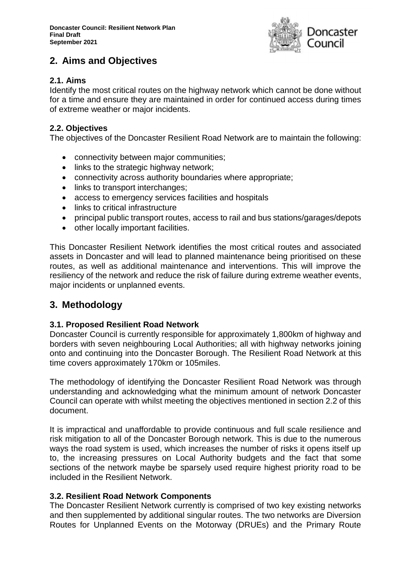

# <span id="page-3-0"></span>**2. Aims and Objectives**

# <span id="page-3-1"></span>**2.1. Aims**

Identify the most critical routes on the highway network which cannot be done without for a time and ensure they are maintained in order for continued access during times of extreme weather or major incidents.

## <span id="page-3-2"></span>**2.2. Objectives**

The objectives of the Doncaster Resilient Road Network are to maintain the following:

- connectivity between major communities;
- links to the strategic highway network;
- connectivity across authority boundaries where appropriate;
- links to transport interchanges;
- access to emergency services facilities and hospitals
- links to critical infrastructure
- principal public transport routes, access to rail and bus stations/garages/depots
- other locally important facilities.

This Doncaster Resilient Network identifies the most critical routes and associated assets in Doncaster and will lead to planned maintenance being prioritised on these routes, as well as additional maintenance and interventions. This will improve the resiliency of the network and reduce the risk of failure during extreme weather events, major incidents or unplanned events.

# <span id="page-3-3"></span>**3. Methodology**

#### <span id="page-3-4"></span>**3.1. Proposed Resilient Road Network**

Doncaster Council is currently responsible for approximately 1,800km of highway and borders with seven neighbouring Local Authorities; all with highway networks joining onto and continuing into the Doncaster Borough. The Resilient Road Network at this time covers approximately 170km or 105miles.

The methodology of identifying the Doncaster Resilient Road Network was through understanding and acknowledging what the minimum amount of network Doncaster Council can operate with whilst meeting the objectives mentioned in section 2.2 of this document.

It is impractical and unaffordable to provide continuous and full scale resilience and risk mitigation to all of the Doncaster Borough network. This is due to the numerous ways the road system is used, which increases the number of risks it opens itself up to, the increasing pressures on Local Authority budgets and the fact that some sections of the network maybe be sparsely used require highest priority road to be included in the Resilient Network.

#### **3.2. Resilient Road Network Components**

The Doncaster Resilient Network currently is comprised of two key existing networks and then supplemented by additional singular routes. The two networks are Diversion Routes for Unplanned Events on the Motorway (DRUEs) and the Primary Route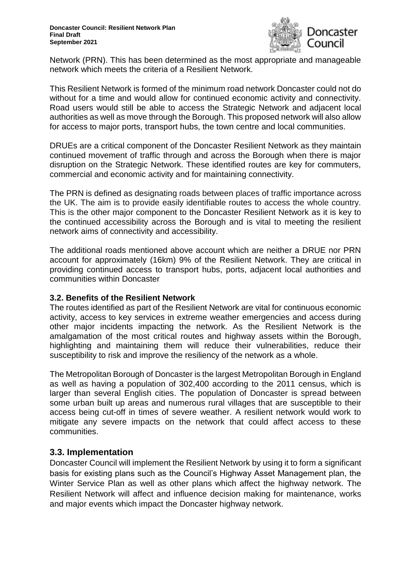

Network (PRN). This has been determined as the most appropriate and manageable network which meets the criteria of a Resilient Network.

This Resilient Network is formed of the minimum road network Doncaster could not do without for a time and would allow for continued economic activity and connectivity. Road users would still be able to access the Strategic Network and adjacent local authorities as well as move through the Borough. This proposed network will also allow for access to major ports, transport hubs, the town centre and local communities.

DRUEs are a critical component of the Doncaster Resilient Network as they maintain continued movement of traffic through and across the Borough when there is major disruption on the Strategic Network. These identified routes are key for commuters, commercial and economic activity and for maintaining connectivity.

The PRN is defined as designating roads between places of traffic importance across the UK. The aim is to provide easily identifiable routes to access the whole country. This is the other major component to the Doncaster Resilient Network as it is key to the continued accessibility across the Borough and is vital to meeting the resilient network aims of connectivity and accessibility.

The additional roads mentioned above account which are neither a DRUE nor PRN account for approximately (16km) 9% of the Resilient Network. They are critical in providing continued access to transport hubs, ports, adjacent local authorities and communities within Doncaster

#### <span id="page-4-0"></span>**3.2. Benefits of the Resilient Network**

The routes identified as part of the Resilient Network are vital for continuous economic activity, access to key services in extreme weather emergencies and access during other major incidents impacting the network. As the Resilient Network is the amalgamation of the most critical routes and highway assets within the Borough, highlighting and maintaining them will reduce their vulnerabilities, reduce their susceptibility to risk and improve the resiliency of the network as a whole.

The Metropolitan Borough of Doncaster is the largest Metropolitan Borough in England as well as having a population of 302,400 according to the 2011 census, which is larger than several English cities. The population of Doncaster is spread between some urban built up areas and numerous rural villages that are susceptible to their access being cut-off in times of severe weather. A resilient network would work to mitigate any severe impacts on the network that could affect access to these communities.

# <span id="page-4-1"></span>**3.3. Implementation**

Doncaster Council will implement the Resilient Network by using it to form a significant basis for existing plans such as the Council's Highway Asset Management plan, the Winter Service Plan as well as other plans which affect the highway network. The Resilient Network will affect and influence decision making for maintenance, works and major events which impact the Doncaster highway network.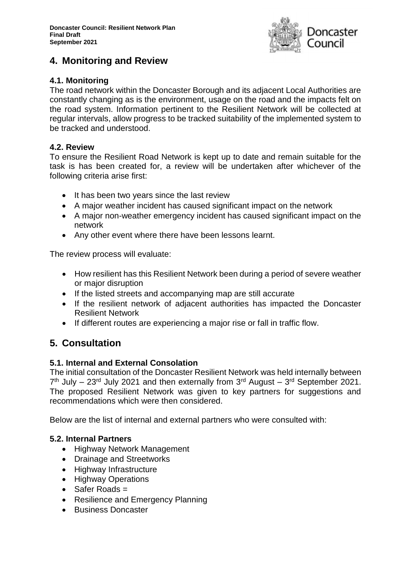

# <span id="page-5-0"></span>**4. Monitoring and Review**

# <span id="page-5-1"></span>**4.1. Monitoring**

The road network within the Doncaster Borough and its adjacent Local Authorities are constantly changing as is the environment, usage on the road and the impacts felt on the road system. Information pertinent to the Resilient Network will be collected at regular intervals, allow progress to be tracked suitability of the implemented system to be tracked and understood.

## <span id="page-5-2"></span>**4.2. Review**

To ensure the Resilient Road Network is kept up to date and remain suitable for the task is has been created for, a review will be undertaken after whichever of the following criteria arise first:

- It has been two vears since the last review
- A major weather incident has caused significant impact on the network
- A major non-weather emergency incident has caused significant impact on the network
- Any other event where there have been lessons learnt.

The review process will evaluate:

- How resilient has this Resilient Network been during a period of severe weather or major disruption
- If the listed streets and accompanying map are still accurate
- If the resilient network of adjacent authorities has impacted the Doncaster Resilient Network
- If different routes are experiencing a major rise or fall in traffic flow.

# <span id="page-5-3"></span>**5. Consultation**

# <span id="page-5-4"></span>**5.1. Internal and External Consolation**

The initial consultation of the Doncaster Resilient Network was held internally between  $7<sup>th</sup>$  July – 23<sup>rd</sup> July 2021 and then externally from  $3<sup>rd</sup>$  August –  $3<sup>rd</sup>$  September 2021. The proposed Resilient Network was given to key partners for suggestions and recommendations which were then considered.

Below are the list of internal and external partners who were consulted with:

# <span id="page-5-5"></span>**5.2. Internal Partners**

- Highway Network Management
- Drainage and Streetworks
- Highway Infrastructure
- Highway Operations
- $\bullet$  Safer Roads =
- Resilience and Emergency Planning
- Business Doncaster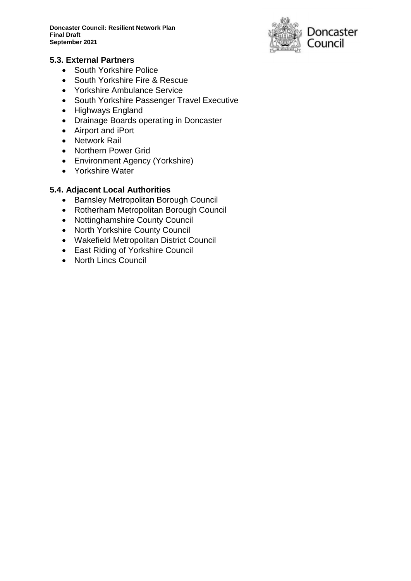**Doncaster Council: Resilient Network Plan Final Draft September 2021**



#### <span id="page-6-0"></span>**5.3. External Partners**

- South Yorkshire Police
- South Yorkshire Fire & Rescue
- Yorkshire Ambulance Service
- South Yorkshire Passenger Travel Executive
- Highways England
- Drainage Boards operating in Doncaster
- Airport and iPort
- Network Rail
- Northern Power Grid
- Environment Agency (Yorkshire)
- Yorkshire Water

## <span id="page-6-1"></span>**5.4. Adjacent Local Authorities**

- **Barnsley Metropolitan Borough Council**
- Rotherham Metropolitan Borough Council
- Nottinghamshire County Council
- North Yorkshire County Council
- Wakefield Metropolitan District Council
- East Riding of Yorkshire Council
- North Lincs Council